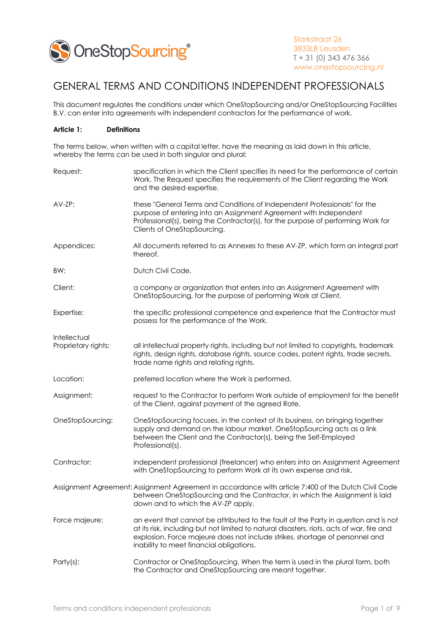

# GENERAL TERMS AND CONDITIONS INDEPENDENT PROFESSIONALS

This document regulates the conditions under which OneStopSourcing and/or OneStopSourcing Facilities B.V. can enter into agreements with independent contractors for the performance of work.

## **Article 1: Definitions**

The terms below, when written with a capital letter, have the meaning as laid down in this article, whereby the terms can be used in both singular and plural:

| Request:            | specification in which the Client specifies its need for the performance of certain<br>Work. The Request specifies the requirements of the Client regarding the Work<br>and the desired expertise.                                                                                                           |
|---------------------|--------------------------------------------------------------------------------------------------------------------------------------------------------------------------------------------------------------------------------------------------------------------------------------------------------------|
| AV-ZP:              | these "General Terms and Conditions of Independent Professionals" for the<br>purpose of entering into an Assignment Agreement with Independent<br>Professional(s), being the Contractor(s), for the purpose of performing Work for<br>Clients of OneStopSourcing.                                            |
| Appendices:         | All documents referred to as Annexes to these AV-ZP, which form an integral part<br>thereof.                                                                                                                                                                                                                 |
| BW:                 | Dutch Civil Code.                                                                                                                                                                                                                                                                                            |
| Client:             | a company or organization that enters into an Assignment Agreement with<br>OneStopSourcing, for the purpose of performing Work at Client.                                                                                                                                                                    |
| Expertise:          | the specific professional competence and experience that the Contractor must<br>possess for the performance of the Work.                                                                                                                                                                                     |
| Intellectual        |                                                                                                                                                                                                                                                                                                              |
| Proprietary rights: | all intellectual property rights, including but not limited to copyrights, trademark<br>rights, design rights, database rights, source codes, patent rights, trade secrets,<br>trade name rights and relating rights.                                                                                        |
| Location:           | preferred location where the Work is performed.                                                                                                                                                                                                                                                              |
| Assignment:         | request to the Contractor to perform Work outside of employment for the benefit<br>of the Client, against payment of the agreed Rate.                                                                                                                                                                        |
| OneStopSourcing:    | OneStopSourcing focuses, in the context of its business, on bringing together<br>supply and demand on the labour market. OneStopSourcing acts as a link<br>between the Client and the Contractor(s), being the Self-Employed<br>Professional(s).                                                             |
| Contractor:         | independent professional (freelancer) who enters into an Assignment Agreement<br>with OneStopSourcing to perform Work at its own expense and risk.                                                                                                                                                           |
|                     | Assignment Agreement: Assignment Agreement in accordance with article 7:400 of the Dutch Civil Code<br>between OneStopSourcing and the Contractor, in which the Assignment is laid<br>down and to which the AV-ZP apply.                                                                                     |
| Force majeure:      | an event that cannot be attributed to the fault of the Party in question and is not<br>at its risk, including but not limited to natural disasters, riots, acts of war, fire and<br>explosion. Force majeure does not include strikes, shortage of personnel and<br>inability to meet financial obligations. |
| $Party(s)$ :        | Contractor or OneStopSourcing. When the term is used in the plural form, both<br>the Contractor and OneStopSourcing are meant together.                                                                                                                                                                      |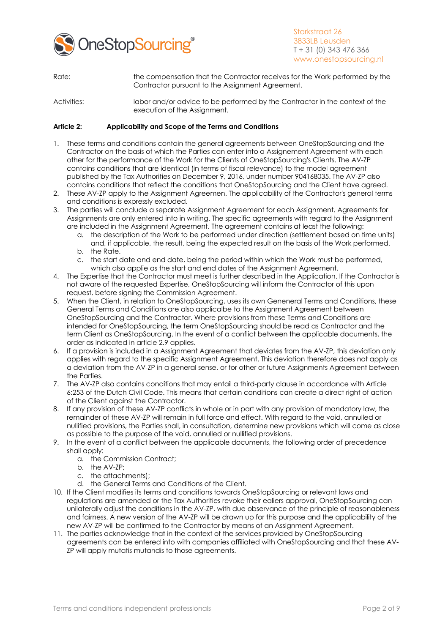

- Rate: the compensation that the Contractor receives for the Work performed by the Contractor pursuant to the Assignment Agreement.
- Activities: labor and/or advice to be performed by the Contractor in the context of the execution of the Assignment.

## **Article 2: Applicability and Scope of the Terms and Conditions**

- 1. These terms and conditions contain the general agreements between OneStopSourcing and the Contractor on the basis of which the Parties can enter into a Assignement Agreement with each other for the performance of the Work for the Clients of OneStopSourcing's Clients. The AV-ZP contains conditions that are identical (in terms of fiscal relevance) to the model agreement published by the Tax Authorities on December 9, 2016, under number 904168035. The AV-ZP also contains conditions that reflect the conditions that OneStopSourcing and the Client have agreed.
- 2. These AV-ZP apply to the Assignment Agreemen. The applicability of the Contractor's general terms and conditions is expressly excluded.
- 3. The parties will conclude a separate Assignment Agreement for each Assignment. Agreements for Assignments are only entered into in writing. The specific agreements with regard to the Assignment are included in the Assignment Agreement. The agreement contains at least the following:
	- a. the description of the Work to be performed under direction (settlement based on time units) and, if applicable, the result, being the expected result on the basis of the Work performed. b. the Rate.
	- c. the start date and end date, being the period within which the Work must be performed, which also applie as the start and end dates of the Assignment Agreement.
- 4. The Expertise that the Contractor must meet is further described in the Application. If the Contractor is not aware of the requested Expertise, OneStopSourcing will inform the Contractor of this upon request, before signing the Commission Agreement.
- 5. When the Client, in relation to OneStopSourcing, uses its own Geneneral Terms and Conditions, these General Terms and Conditions are also applicalbe to the Assignment Agreement between OneStopSourcing and the Contractor. Where provisions from these Terms and Conditions are intended for OneStopSourcing, the term OneStopSourcing should be read as Contractor and the term Client as OneStopSourcing. In the event of a conflict between the applicable documents, the order as indicated in article 2.9 applies.
- 6. If a provision is included in a Assignment Agreement that deviates from the AV-ZP, this deviation only applies with regard to the specific Assignment Agreement. This deviation therefore does not apply as a deviation from the AV-ZP in a general sense, or for other or future Assignments Agreement between the Parties.
- 7. The AV-ZP also contains conditions that may entail a third-party clause in accordance with Article 6:253 of the Dutch Civil Code. This means that certain conditions can create a direct right of action of the Client against the Contractor.
- 8. If any provision of these AV-ZP conflicts in whole or in part with any provision of mandatory law, the remainder of these AV-ZP will remain in full force and effect. With regard to the void, annulled or nullified provisions, the Parties shall, in consultation, determine new provisions which will come as close as possible to the purpose of the void, annulled or nullified provisions.
- 9. In the event of a conflict between the applicable documents, the following order of precedence shall apply:
	- a. the Commission Contract;
	- b. the AV-ZP;
	- c. the attachments);
	- d. the General Terms and Conditions of the Client.
- 10. If the Client modifies its terms and conditions towards OneStopSourcing or relevant laws and regulations are amended or the Tax Authorities revoke their ealiers approval, OneStopSourcing can unilaterally adjust the conditions in the AV-ZP, with due observance of the principle of reasonableness and fairness. A new version of the AV-ZP will be drawn up for this purpose and the applicability of the new AV-ZP will be confirmed to the Contractor by means of an Assignment Agreement.
- 11. The parties acknowledge that in the context of the services provided by OneStopSourcing agreements can be entered into with companies affiliated with OneStopSourcing and that these AV-ZP will apply mutatis mutandis to those agreements.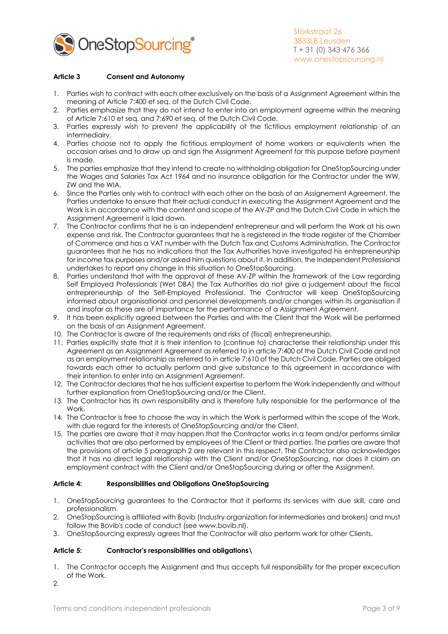

## **Article 3 Consent and Autonomy**

- 1. Parties wish to contract with each other exclusively on the basis of a Assignment Agreement within the meaning of Article 7:400 et seq. of the Dutch Civil Code.
- 2. Parties emphasize that they do not intend to enter into an employment agreeme within the meaning of Article 7:610 et seq. and 7:690 et seq. of the Dutch Civil Code.
- 3. Parties expressly wish to prevent the applicability of the fictitious employment relationship of an intermediairy.
- 4. Parties choose not to apply the fictitious employment of home workers or equivalents when the occasion arises and to draw up and sign the Assignment Agreement for this purpose before payment is made.
- 5. The parties emphasize that they intend to create no withholding obligation for OneStopSourcing under the Wages and Salaries Tax Act 1964 and no insurance obligation for the Contractor under the WW, ZW and the WIA.
- 6. Since the Parties only wish to contract with each other on the basis of an Assignement Agreement, the Parties undertake to ensure that their actual conduct in executing the Assignment Agreement and the Work is in accordance with the content and scope of the AV-ZP and the Dutch Civil Code in which the Assignment Agreement is laid down.
- 7. The Contractor confirms that he is an independent entrepreneur and will perform the Work at his own expense and risk. The Contractor guarantees that he is registered in the trade register of the Chamber of Commerce and has a VAT number with the Dutch Tax and Customs Administration. The Contractor guarantees that he has no indications that the Tax Authorities have investigated his entrepreneurship for income tax purposes and/or asked him questions about it. In addition, the Independent Professional undertakes to report any change in this situation to OneStopSourcing.
- 8. Parties understand that with the approval of these AV-ZP within the framework of the Law regarding Self Employed Professionals (Wet DBA) the Tax Authorities do not give a judgement about the fiscal entrepreneurship of the Self-Employed Professional. The Contractor will keep OneStopSourcing informed about organisational and personnel developments and/or changes within its organisation if and insofar as these are of importance for the performance of a Assignment Agreement.
- 9. It has been explicitly agreed between the Parties and with the Client that the Work will be performed on the basis of an Assignment Agreement.
- 10. The Contractor is aware of the requirements and risks of (fiscal) entrepreneurship.
- 11. Parties explicitly state that it is their intention to (continue to) characterise their relationship under this Agreement as an Assignment Agreement as referred to in article 7:400 of the Dutch Civil Code and not as an employment relationship as referred to in article 7:610 of the Dutch Civil Code. Parties are obliged towards each other to actually perform and give substance to this agreement in accordance with their intention to enter into an Assignment Agreement.
- 12. The Contractor declares that he has sufficient expertise to perform the Work independently and without further explanation from OneStopSourcing and/or the Client.
- 13. The Contractor has its own responsibility and is therefore fully responsible for the performance of the Work.
- 14. The Contractor is free to choose the way in which the Work is performed within the scope of the Work, with due regard for the interests of OneStopSourcing and/or the Client.
- 15. The parties are aware that it may happen that the Contractor works in a team and/or performs similar activities that are also performed by employees of the Client or third parties. The parties are aware that the provisions of article 5 paragraph 2 are relevant in this respect. The Contractor also acknowledges that it has no direct legal relationship with the Client and/or OneStopSourcing, nor does it claim an employment contract with the Client and/or OneStopSourcing during or after the Assignment.

## **Article 4: Responsibilities and Obligations OneStopSourcing**

- 1. OneStopSourcing guarantees to the Contractor that it performs its services with due skill, care and professionalism.
- 2. OneStopSourcing is affiliated with Bovib (Industry organization for intermediaries and brokers) and must follow the Bovib's code of conduct (see www.bovib.nl).
- 3. OneStopSourcing expressly agrees that the Contractor will also perform work for other Clients.

## **Article 5: Contractor's responsibilities and obligations\**

- 1. The Contractor accepts the Assignment and thus accepts full responsibility for the proper excecution of the Work.
- 2.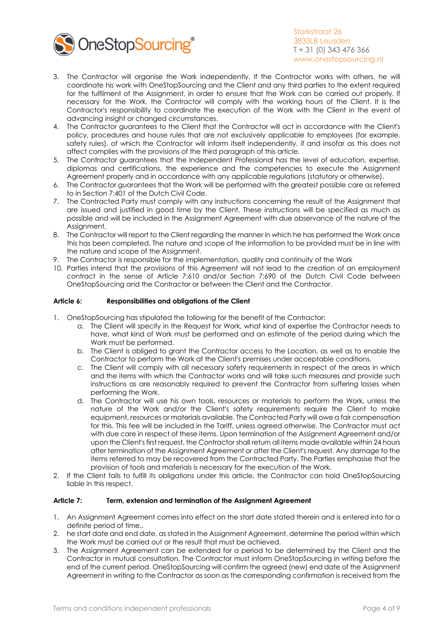

- 3. The Contractor will organise the Work independently. If the Contractor works with others, he will coordinate his work with OneStopSourcing and the Client and any third parties to the extent required for the fulfilment of the Assignment, in order to ensure that the Work can be carried out properly. If necessary for the Work, the Contractor will comply with the working hours of the Client. It is the Contractor's responsibility to coordinate the execution of the Work with the Client in the event of advancing insight or changed circumstances.
- 4. The Contractor guarantees to the Client that the Contractor will act in accordance with the Client's policy, procedures and house rules that are not exclusively applicable to employees (for example, safety rules), of which the Contractor will inform itself independently, if and insofar as this does not affect complies with the provisions of the third paragraph of this article.
- 5. The Contractor guarantees that the Independent Professional has the level of education, expertise, diplomas and certifications, the experience and the competencies to execute the Assignment Agreement properly and in accordance with any applicable regulations (statutory or otherwise).
- 6. The Contractor guarantees that the Work will be performed with the greatest possible care as referred to in Section 7:401 of the Dutch Civil Code.
- 7. The Contracted Party must comply with any instructions concerning the result of the Assignment that are issued and justified in good time by the Client. These instructions will be specified as much as possible and will be included in the Assignment Agreement with due observance of the nature of the Assianment.
- 8. The Contractor will report to the Client regarding the manner in which he has performed the Work once this has been completed. The nature and scope of the information to be provided must be in line with the nature and scope of the Assignment.
- 9. The Contractor is responsible for the implementation, quality and continuity of the Work
- 10. Parties intend that the provisions of this Agreement will not lead to the creation of an employment contract in the sense of Article 7:610 and/or Section 7:690 of the Dutch Civil Code between OneStopSourcing and the Contractor or between the Client and the Contractor.

## **Article 6: Responsibilities and obligations of the Client**

- 1. OneStopSourcing has stipulated the following for the benefit of the Contractor:
	- a. The Client will specify in the Request for Work, what kind of expertise the Contractor needs to have, what kind of Work must be performed and an estimate of the period during which the Work must be performed.
	- b. The Client is obliged to grant the Contractor access to the Location, as well as to enable the Contractor to perform the Work at the Client's premises under acceptable conditions.
	- c. The Client will comply with all necessary safety requirements in respect of the areas in which and the items with which the Contractor works and will take such measures and provide such instructions as are reasonably required to prevent the Contractor from suffering losses when performing the Work.
	- d. The Contractor will use his own tools, resources or materials to perform the Work, unless the nature of the Work and/or the Client's safety requirements require the Client to make equipment, resources or materials available. The Contracted Party will owe a fair compensation for this. This fee will be included in the Tariff, unless agreed otherwise. The Contractor must act with due care in respect of these items. Upon termination of the Assignment Agreement and/or upon the Client's first request, the Contractor shall return all items made available within 24 hours after termination of the Assignment Agreement or after the Client's request. Any damage to the items referred to may be recovered from the Contracted Party. The Parties emphasise that the provision of tools and materials is necessary for the execution of the Work.
- 2. If the Client fails to fulfill its obligations under this article, the Contractor can hold OneStopSourcing liable in this respect.

## **Article 7: Term, extension and termination of the Assignment Agreement**

- 1. An Assignment Agreement comes into effect on the start date stated therein and is entered into for a definite period of time..
- 2. he start date and end date, as stated in the Assignment Agreement, determine the period within which the Work must be carried out or the result that must be achieved.
- 3. The Assignment Agreement can be extended for a period to be determined by the Client and the Contractor in mutual consultation. The Contractor must inform OneStopSourcing in writing before the end of the current period. OneStopSourcing will confirm the agreed (new) end date of the Assignment Agreement in writing to the Contractor as soon as the corresponding confirmation is received from the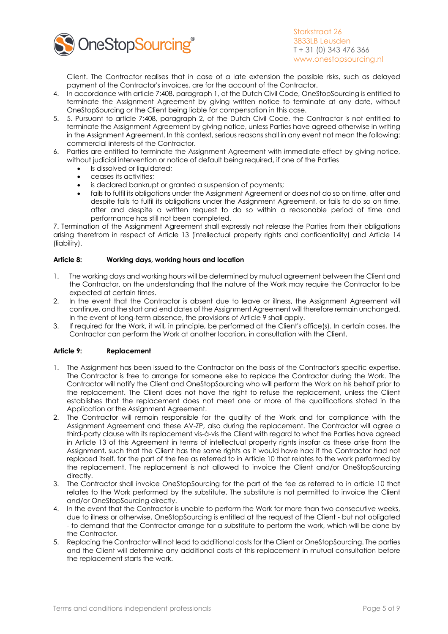

Client. The Contractor realises that in case of a late extension the possible risks, such as delayed payment of the Contractor's invoices, are for the account of the Contractor.

- 4. In accordance with article 7:408, paragraph 1, of the Dutch Civil Code, OneStopSourcing is entitled to terminate the Assignment Agreement by giving written notice to terminate at any date, without OneStopSourcing or the Client being liable for compensation in this case.
- 5. 5. Pursuant to article 7:408, paragraph 2, of the Dutch Civil Code, the Contractor is not entitled to terminate the Assignment Agreement by giving notice, unless Parties have agreed otherwise in writing in the Assignment Agreement. In this context, serious reasons shall in any event not mean the following: commercial interests of the Contractor.
- 6. Parties are entitled to terminate the Assignment Agreement with immediate effect by giving notice, without judicial intervention or notice of default being required, if one of the Parties
	- Is dissolved or liquidated:
	- ceases its activities;
	- is declared bankrupt or granted a suspension of payments;
	- fails to fulfil its obligations under the Assignment Agreement or does not do so on time, after and despite fails to fulfil its obligations under the Assignment Agreement, or fails to do so on time, after and despite a written request to do so within a reasonable period of time and performance has still not been completed.

7. Termination of the Assignment Agreement shall expressly not release the Parties from their obligations arising therefrom in respect of Article 13 (intellectual property rights and confidentiality) and Article 14 (liability).

## **Article 8: Working days, working hours and location**

- 1. The working days and working hours will be determined by mutual agreement between the Client and the Contractor, on the understanding that the nature of the Work may require the Contractor to be expected at certain times.
- 2. In the event that the Contractor is absent due to leave or illness, the Assignment Agreement will continue, and the start and end dates of the Assignment Agreement will therefore remain unchanged. In the event of long-term absence, the provisions of Article 9 shall apply.
- 3. If required for the Work, it will, in principle, be performed at the Client's office(s). In certain cases, the Contractor can perform the Work at another location, in consultation with the Client.

## **Article 9: Replacement**

- 1. The Assignment has been issued to the Contractor on the basis of the Contractor's specific expertise. The Contractor is free to arrange for someone else to replace the Contractor during the Work. The Contractor will notify the Client and OneStopSourcing who will perform the Work on his behalf prior to the replacement. The Client does not have the right to refuse the replacement, unless the Client establishes that the replacement does not meet one or more of the qualifications stated in the Application or the Assignment Agreement.
- 2. The Contractor will remain responsible for the quality of the Work and for compliance with the Assignment Agreement and these AV-ZP, also during the replacement. The Contractor will agree a third-party clause with its replacement vis-à-vis the Client with regard to what the Parties have agreed in Article 13 of this Agreement in terms of intellectual property rights insofar as these arise from the Assignment, such that the Client has the same rights as it would have had if the Contractor had not replaced itself. for the part of the fee as referred to in Article 10 that relates to the work performed by the replacement. The replacement is not allowed to invoice the Client and/or OneStopSourcing directly.
- 3. The Contractor shall invoice OneStopSourcing for the part of the fee as referred to in article 10 that relates to the Work performed by the substitute. The substitute is not permitted to invoice the Client and/or OneStopSourcing directly.
- 4. In the event that the Contractor is unable to perform the Work for more than two consecutive weeks, due to illness or otherwise, OneStopSourcing is entitled at the request of the Client - but not obligated - to demand that the Contractor arrange for a substitute to perform the work, which will be done by the Contractor.
- 5. Replacing the Contractor will not lead to additional costs for the Client or OneStopSourcing. The parties and the Client will determine any additional costs of this replacement in mutual consultation before the replacement starts the work.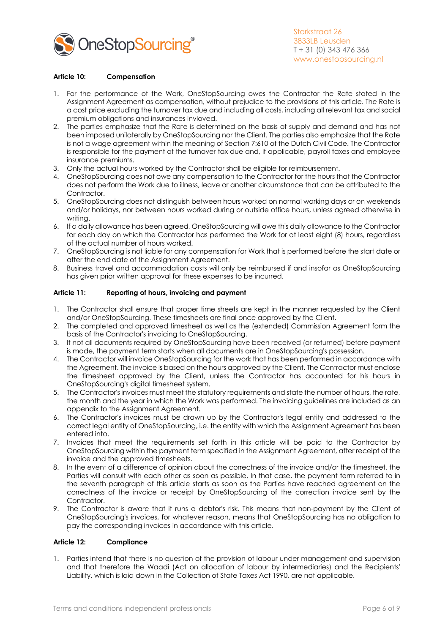

## **Article 10: Compensation**

- 1. For the performance of the Work, OneStopSourcing owes the Contractor the Rate stated in the Assignment Agreement as compensation, without prejudice to the provisions of this article. The Rate is a cost price excluding the turnover tax due and including all costs, including all relevant tax and social premium obligations and insurances invloved.
- 2. The parties emphasize that the Rate is determined on the basis of supply and demand and has not been imposed unilaterally by OneStopSourcing nor the Client. The parties also emphasize that the Rate is not a wage agreement within the meaning of Section 7:610 of the Dutch Civil Code. The Contractor is responsible for the payment of the turnover tax due and, if applicable, payroll taxes and employee insurance premiums.
- 3. Only the actual hours worked by the Contractor shall be eligible for reimbursement.
- 4. OneStopSourcing does not owe any compensation to the Contractor for the hours that the Contractor does not perform the Work due to illness, leave or another circumstance that can be attributed to the Contractor.
- 5. OneStopSourcing does not distinguish between hours worked on normal working days or on weekends and/or holidays, nor between hours worked during or outside office hours, unless agreed otherwise in writing.
- 6. If a daily allowance has been agreed, OneStopSourcing will owe this daily allowance to the Contractor for each day on which the Contractor has performed the Work for at least eight (8) hours, regardless of the actual number of hours worked.
- 7. OneStopSourcing is not liable for any compensation for Work that is performed before the start date or after the end date of the Assignment Agreement.
- 8. Business travel and accommodation costs will only be reimbursed if and insofar as OneStopSourcing has given prior written approval for these expenses to be incurred.

## **Article 11: Reporting of hours, invoicing and payment**

- 1. The Contractor shall ensure that proper time sheets are kept in the manner requested by the Client and/or OneStopSourcing. These timesheets are final once approved by the Client.
- 2. The completed and approved timesheet as well as the (extended) Commission Agreement form the basis of the Contractor's invoicing to OneStopSourcing.
- 3. If not all documents required by OneStopSourcing have been received (or returned) before payment is made, the payment term starts when all documents are in OneStopSourcing's possession.
- 4. The Contractor will invoice OneStopSourcing for the work that has been performed in accordance with the Agreement. The invoice is based on the hours approved by the Client. The Contractor must enclose the timesheet approved by the Client, unless the Contractor has accounted for his hours in OneStopSourcing's digital timesheet system.
- 5. The Contractor's invoices must meet the statutory requirements and state the number of hours, the rate, the month and the year in which the Work was performed. The invoicing guidelines are included as an appendix to the Assignment Agreement.
- 6. The Contractor's invoices must be drawn up by the Contractor's legal entity and addressed to the correct legal entity of OneStopSourcing, i.e. the entity with which the Assignment Agreement has been entered into.
- 7. Invoices that meet the requirements set forth in this article will be paid to the Contractor by OneStopSourcing within the payment term specified in the Assignment Agreement, after receipt of the invoice and the approved timesheets.
- 8. In the event of a difference of opinion about the correctness of the invoice and/or the timesheet, the Parties will consult with each other as soon as possible. In that case, the payment term referred to in the seventh paragraph of this article starts as soon as the Parties have reached agreement on the correctness of the invoice or receipt by OneStopSourcing of the correction invoice sent by the Contractor.
- 9. The Contractor is aware that it runs a debtor's risk. This means that non-payment by the Client of OneStopSourcing's invoices, for whatever reason, means that OneStopSourcing has no obligation to pay the corresponding invoices in accordance with this article.

#### **Article 12: Compliance**

`

1. Parties intend that there is no question of the provision of labour under management and supervision and that therefore the Waadi (Act on allocation of labour by intermediaries) and the Recipients' Liability, which is laid down in the Collection of State Taxes Act 1990, are not applicable.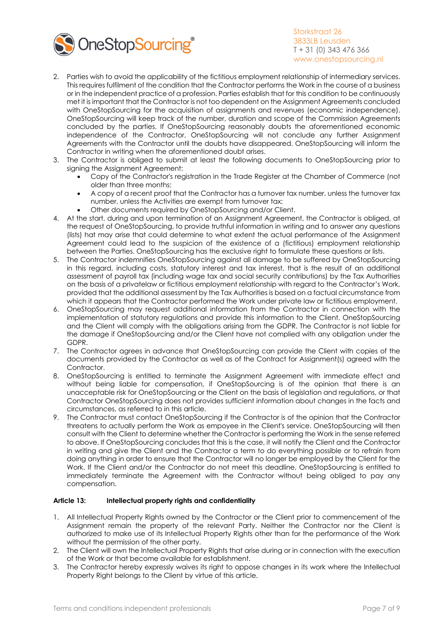

- 2. Parties wish to avoid the applicability of the fictitious employment relationship of intermediary services. This requires fulfilment of the condition that the Contractor performs the Work in the course of a business or in the independent practice of a profession. Parties establish that for this condition to be continuously met it is important that the Contractor is not too dependent on the Assignment Agreements concluded with OneStopSourcing for the acquisition of assignments and revenues (economic independence). OneStopSourcing will keep track of the number, duration and scope of the Commission Agreements concluded by the parties. If OneStopSourcing reasonably doubts the aforementioned economic independence of the Contractor, OneStopSourcing will not conclude any further Assignment Agreements with the Contractor until the doubts have disappeared. OneStopSourcing will inform the Contractor in writing when the aforementioned doubt arises.
- 3. The Contractor is obliged to submit at least the following documents to OneStopSourcing prior to signing the Assignment Agreement:
	- Copy of the Contractor's registration in the Trade Register at the Chamber of Commerce (not older than three months:
	- A copy of a recent proof that the Contractor has a turnover tax number, unless the turnover tax number, unless the Activities are exempt from turnover tax;
	- Other documents required by OneStopSourcing and/or Client.
- 4. At the start, during and upon termination of an Assignment Agreement, the Contractor is obliged, at the request of OneStopSourcing, to provide truthful information in writing and to answer any questions (lists) hat may arise that could determine to what extent the actual performance of the Assignment Agreement could lead to the suspicion of the existence of a (fictitious) employment relationship between the Parties. OneStopSourcing has the exclusive right to formulate these questions or lists.
- 5. The Contractor indemnifies OneStopSourcing against all damage to be suffered by OneStopSourcing in this regard, including costs, statutory interest and tax interest, that is the result of an additional assessment of payroll tax (including wage tax and social security contributions) by the Tax Authorities on the basis of a privatelaw or fictitious employment relationship with regard to the Contractor's Work, provided that the additional assessment by the Tax Authorities is based on a factual circumstance from which it appears that the Contractor performed the Work under private law or fictitious employment.
- 6. OneStopSourcing may request additional information from the Contractor in connection with the implementation of statutory regulations and provide this information to the Client. OneStopSourcing and the Client will comply with the obligations arising from the GDPR. The Contractor is not liable for the damage if OneStopSourcing and/or the Client have not complied with any obligation under the GDPR.
- 7. The Contractor agrees in advance that OneStopSourcing can provide the Client with copies of the documents provided by the Contractor as well as of the Contract for Assignment(s) agreed with the Contractor.
- 8. OneStopSourcing is entitled to terminate the Assignment Agreement with immediate effect and without being liable for compensation, if OneStopSourcing is of the opinion that there is an unacceptable risk for OneStopSourcing or the Client on the basis of legislation and regulations, or that Contractor OneStopSourcing does not provides sufficient information about changes in the facts and circumstances, as referred to in this article.
- 9. The Contractor must contact OneStopSourcing if the Contractor is of the opinion that the Contractor threatens to actually perform the Work as empoyee in the Client's service. OneStopSourcing will then consult with the Client to determine whether the Contractor is performing the Work in the sense referred to above. If OneStopSourcing concludes that this is the case, it will notify the Client and the Contractor in writing and give the Client and the Contractor a term to do everything possible or to refrain from doing anything in order to ensure that the Contractor will no longer be employed by the Client for the Work. If the Client and/or the Contractor do not meet this deadline, OneStopSourcing is entitled to immediately terminate the Agreement with the Contractor without being obliged to pay any compensation.

## **Article 13: Intellectual property rights and confidentiality**

- 1. All Intellectual Property Rights owned by the Contractor or the Client prior to commencement of the Assignment remain the property of the relevant Party. Neither the Contractor nor the Client is authorized to make use of its Intellectual Property Rights other than for the performance of the Work without the permission of the other party.
- 2. The Client will own the Intellectual Property Rights that arise during or in connection with the execution of the Work or that become available for establishment.
- 3. The Contractor hereby expressly waives its right to oppose changes in its work where the Intellectual Property Right belongs to the Client by virtue of this article.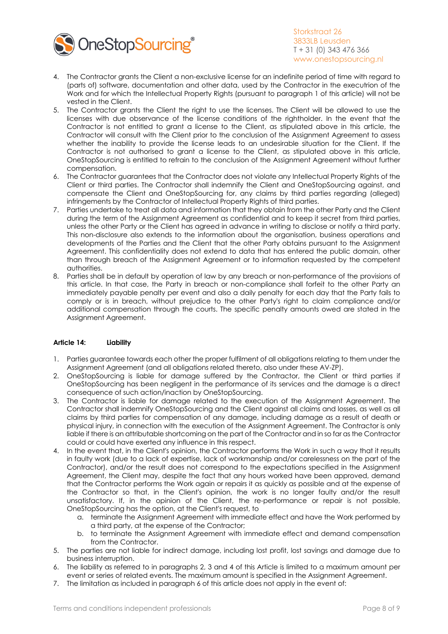

- 4. The Contractor grants the Client a non-exclusive license for an indefinite period of time with regard to (parts of) software, documentation and other data, used by the Contractor in the executrion of the Work and for which the Intellectual Property Rights (pursuant to paragraph 1 of this article) will not be vested in the Client.
- 5. The Contractor grants the Client the right to use the licenses. The Client will be allowed to use the licenses with due observance of the license conditions of the rightholder. In the event that the Contractor is not entitled to grant a license to the Client, as stipulated above in this article, the Contractor will consult with the Client prior to the conclusion of the Assignment Agreement to assess whether the inability to provide the license leads to an undesirable situation for the Client. If the Contractor is not authorised to grant a license to the Client, as stipulated above in this article, OneStopSourcing is entitled to refrain to the conclusion of the Assignment Agreement without further compensation.
- 6. The Contractor guarantees that the Contractor does not violate any Intellectual Property Rights of the Client or third parties. The Contractor shall indemnify the Client and OneStopSourcing against, and compensate the Client and OneStopSourcing for, any claims by third parties regarding (alleged) infringements by the Contractor of Intellectual Property Rights of third parties.
- 7. Parties undertake to treat all data and information that they obtain from the other Party and the Client during the term of the Assignment Agreement as confidential and to keep it secret from third parties, unless the other Party or the Client has agreed in advance in writing to disclose or notify a third party. This non-disclosure also extends to the information about the organisation, business operations and developments of the Parties and the Client that the other Party obtains pursuant to the Assignment Agreement. This confidentiality does not extend to data that has entered the public domain, other than through breach of the Assignment Agreement or to information requested by the competent authorities.
- 8. Parties shall be in default by operation of law by any breach or non-performance of the provisions of this article. In that case, the Party in breach or non-compliance shall forfeit to the other Party an immediately payable penalty per event and also a daily penalty for each day that the Party fails to comply or is in breach, without prejudice to the other Party's right to claim compliance and/or additional compensation through the courts. The specific penalty amounts owed are stated in the Assignment Agreement.

## **Article 14: Liability**

- 1. Parties guarantee towards each other the proper fulfilment of all obligations relating to them under the Assignment Agreement (and all obligations related thereto, also under these AV-ZP).
- 2. OneStopSourcing is liable for damage suffered by the Contractor, the Client or third parties if OneStopSourcing has been negligent in the performance of its services and the damage is a direct consequence of such action/inaction by OneStopSourcing.
- 3. The Contractor is liable for damage related to the execution of the Assignment Agreement. The Contractor shall indemnify OneStopSourcing and the Client against all claims and losses, as well as all claims by third parties for compensation of any damage, including damage as a result of death or physical injury, in connection with the execution of the Assignment Agreement. The Contractor is only liable if there is an attributable shortcoming on the part of the Contractor and in so far as the Contractor could or could have exerted any influence in this respect.
- 4. In the event that, in the Client's opinion, the Contractor performs the Work in such a way that it results in faulty work (due to a lack of expertise, lack of workmanship and/or carelessness on the part of the Contractor), and/or the result does not correspond to the expectations specified in the Assignment Agreement, the Client may, despite the fact that any hours worked have been approved, demand that the Contractor performs the Work again or repairs it as quickly as possible and at the expense of the Contractor so that, in the Client's opinion, the work is no longer faulty and/or the result unsatisfactory. If, in the opinion of the Client, the re-performance or repair is not possible, OneStopSourcing has the option, at the Client's request, to
	- a. terminate the Assignment Agreement with immediate effect and have the Work performed by a third party, at the expense of the Contractor;
	- b. to terminate the Assignment Agreement with immediate effect and demand compensation from the Contractor.
- 5. The parties are not liable for indirect damage, including lost profit, lost savings and damage due to business interruption.
- 6. The liability as referred to in paragraphs 2, 3 and 4 of this Article is limited to a maximum amount per event or series of related events. The maximum amount is specified in the Assignment Agreement.
- 7. The limitation as included in paragraph 6 of this article does not apply in the event of: